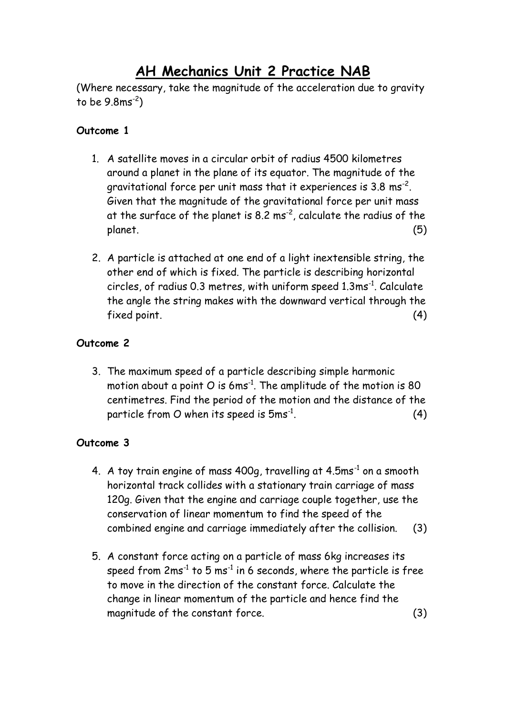# **AH Mechanics Unit 2 Practice NAB**

(Where necessary, take the magnitude of the acceleration due to gravity to be 9.8ms-2 )

## **Outcome 1**

- 1. A satellite moves in a circular orbit of radius 4500 kilometres around a planet in the plane of its equator. The magnitude of the gravitational force per unit mass that it experiences is 3.8  $\mathrm{ms}^\text{-2}.$ Given that the magnitude of the gravitational force per unit mass at the surface of the planet is 8.2 ms<sup>-2</sup>, calculate the radius of the planet. (5)
- 2. A particle is attached at one end of a light inextensible string, the other end of which is fixed. The particle is describing horizontal circles, of radius 0.3 metres, with uniform speed 1.3ms<sup>-1</sup>. Calculate the angle the string makes with the downward vertical through the fixed point. (4)

# **Outcome 2**

3. The maximum speed of a particle describing simple harmonic motion about a point O is 6 $\text{ms}^{-1}$ . The amplitude of the motion is 80 centimetres. Find the period of the motion and the distance of the particle from O when its speed is  $5 \mathrm{ms}^\text{-1}$ .  $(4)$ 

# **Outcome 3**

- 4. A toy train engine of mass  $400g$ , travelling at  $4.5\mathrm{ms}^{-1}$  on a smooth horizontal track collides with a stationary train carriage of mass 120g. Given that the engine and carriage couple together, use the conservation of linear momentum to find the speed of the combined engine and carriage immediately after the collision. (3)
- 5. A constant force acting on a particle of mass 6kg increases its speed from 2 $\text{ms}^{-1}$  to 5  $\text{ms}^{-1}$  in 6 seconds, where the particle is free to move in the direction of the constant force. Calculate the change in linear momentum of the particle and hence find the magnitude of the constant force. (3)